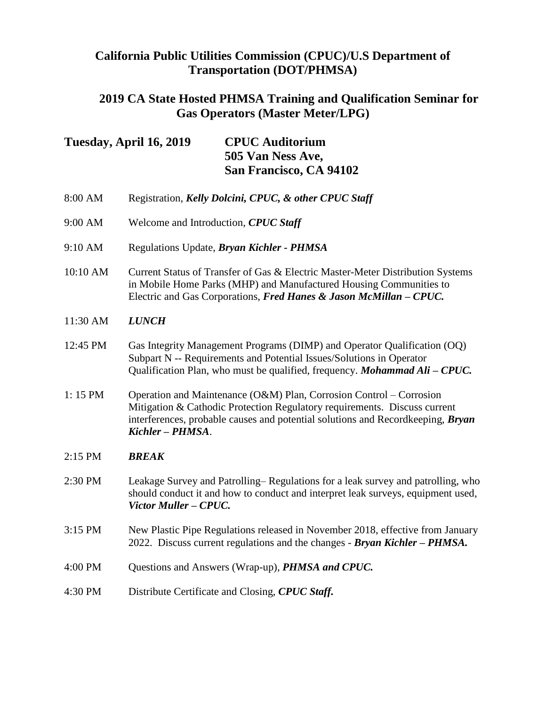# **California Public Utilities Commission (CPUC)/U.S Department of Transportation (DOT/PHMSA)**

#### **2019 CA State Hosted PHMSA Training and Qualification Seminar for Gas Operators (Master Meter/LPG)**

| Tuesday, April 16, 2019 | <b>CPUC</b> Auditorium  |
|-------------------------|-------------------------|
|                         | 505 Van Ness Ave,       |
|                         | San Francisco, CA 94102 |

- 8:00 AM Registration, *Kelly Dolcini, CPUC, & other CPUC Staff*
- 9:00 AM Welcome and Introduction, *CPUC Staff*
- 9:10 AM Regulations Update, *Bryan Kichler - PHMSA*
- 10:10 AM Current Status of Transfer of Gas & Electric Master-Meter Distribution Systems in Mobile Home Parks (MHP) and Manufactured Housing Communities to Electric and Gas Corporations, *Fred Hanes & Jason McMillan – CPUC.*
- 11:30 AM *LUNCH*
- 12:45 PM Gas Integrity Management Programs (DIMP) and Operator Qualification (OQ) Subpart N -- Requirements and Potential Issues/Solutions in Operator Qualification Plan, who must be qualified, frequency. *Mohammad Ali – CPUC.*
- 1: 15 PM Operation and Maintenance (O&M) Plan, Corrosion Control Corrosion Mitigation & Cathodic Protection Regulatory requirements. Discuss current interferences, probable causes and potential solutions and Recordkeeping, *Bryan Kichler – PHMSA*.
- 2:15 PM *BREAK*
- 2:30 PM Leakage Survey and Patrolling– Regulations for a leak survey and patrolling, who should conduct it and how to conduct and interpret leak surveys, equipment used, *Victor Muller – CPUC.*
- 3:15 PM New Plastic Pipe Regulations released in November 2018, effective from January 2022. Discuss current regulations and the changes - *Bryan Kichler – PHMSA.*
- 4:00 PM Questions and Answers (Wrap-up), *PHMSA and CPUC.*
- 4:30 PM Distribute Certificate and Closing, *CPUC Staff.*